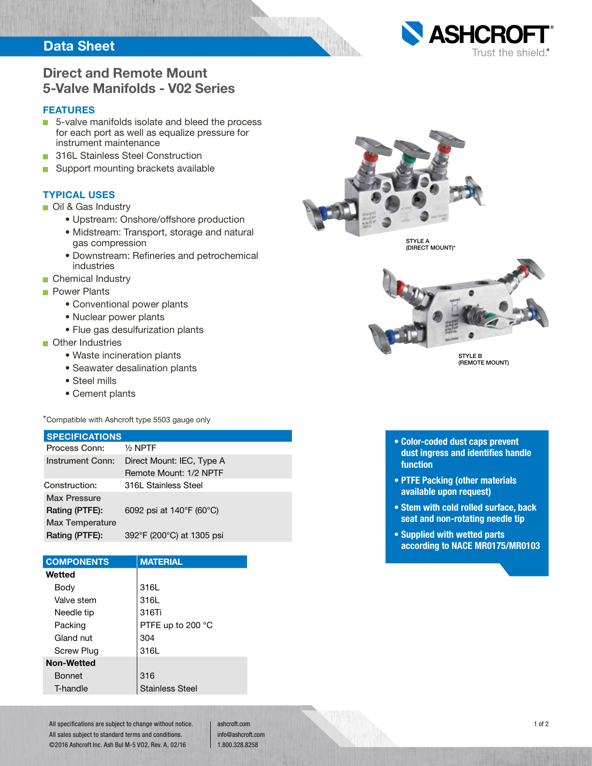## **Data Sheet**



## **Direct and Remote Mount 5-Valve Manifolds - V02 Series**

#### **FEATURES**

- 5-valve manifolds isolate and bleed the process for each port as well as equalize pressure for instrument maintenance
- **316L Stainless Steel Construction**
- Support mounting brackets available

### **TYPICAL USES**

- **Oil & Gas Industry** 
	- Upstream: Onshore/offshore production
	- Midstream: Transport, storage and natural gas compression
	- Downstream: Refineries and petrochemical industries
- Chemical Industry
- **Power Plants** 
	- Conventional power plants
	- Nuclear power plants
	- Flue gas desulfurization plants

#### **n** Other Industries

- Waste incineration plants
- Seawater desalination plants
- Steel mills
- Cement plants

\*Compatible with Ashcroft type 5503 gauge only

#### **SPECIFICATIONS**

| Process Conn:           | $1/2$ NPTF                |  |  |  |
|-------------------------|---------------------------|--|--|--|
| <b>Instrument Conn:</b> | Direct Mount: IEC, Type A |  |  |  |
|                         | Remote Mount: 1/2 NPTF    |  |  |  |
| Construction:           | 316L Stainless Steel      |  |  |  |
| <b>Max Pressure</b>     |                           |  |  |  |
| Rating (PTFE):          | 6092 psi at 140°F (60°C)  |  |  |  |
| <b>Max Temperature</b>  |                           |  |  |  |
| Rating (PTFE):          | 392°F (200°C) at 1305 psi |  |  |  |

| <b>COMPONENTS</b> | <b>MATERIAL</b>        |
|-------------------|------------------------|
| Wetted            |                        |
| Body              | 316L                   |
| Valve stem        | 316L                   |
| Needle tip        | 316Ti                  |
| Packing           | PTFE up to 200 °C      |
| Gland nut         | 304                    |
| <b>Screw Plug</b> | 316L                   |
| <b>Non-Wetted</b> |                        |
| <b>Bonnet</b>     | 316                    |
| T-handle          | <b>Stainless Steel</b> |

All specifications are subject to change without notice. All sales subject to standard terms and conditions. ©2016 Ashcroft Inc. Ash Bul M-5 VO2, Rev. A, 02/16

ashcroft.com info@ashcroft.com 1.800.328.8258



(DIRECT MOUNT)\*



(REMOTE MOUNT)

- **Color-coded dust caps prevent dust ingress and identifies handle function**
- **PTFE Packing (other materials available upon request)**
- **Stem with cold rolled surface, back seat and non-rotating needle tip**
- **Supplied with wetted parts according to NACE MR0175/MR0103**